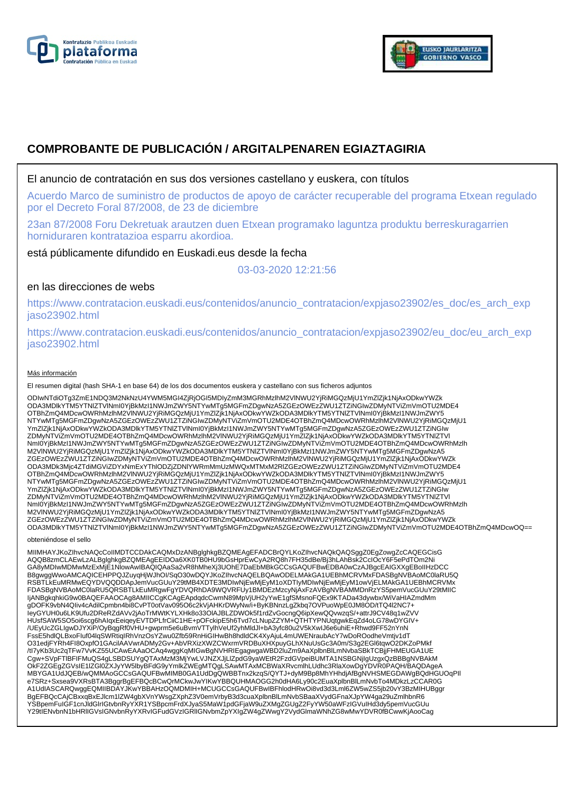



# **COMPROBANTE DE PUBLICACIÓN / ARGITALPENAREN EGIAZTAGIRIA**

El anuncio de contratación en sus dos versiones castellano y euskera, con títulos

Acuerdo Marco de suministro de productos de apoyo de carácter recuperable del programa Etxean regulado por el Decreto Foral 87/2008, de 23 de diciembre

23an 87/2008 Foru Dekretuak arautzen duen Etxean programako laguntza produktu berreskuragarrien horniduraren kontratazioa esparru akordioa.

está públicamente difundido en Euskadi.eus desde la fecha

03-03-2020 12:21:56

# en las direcciones de webs

https://www.contratacion.euskadi.eus/contenidos/anuncio\_contratacion/expjaso23902/es\_doc/es\_arch\_exp jaso23902.html

https://www.contratacion.euskadi.eus/contenidos/anuncio\_contratacion/expjaso23902/eu\_doc/eu\_arch\_exp jaso23902.html

### Más información

El resumen digital (hash SHA-1 en base 64) de los dos documentos euskera y castellano con sus ficheros adjuntos

ODIwNTdiOTg3ZmE1NDQ3M2NkNzU4YWM5MGI4ZjRjOGI5MDIyZmM3MGRhMzlhM2VlNWU2YjRiMGQzMjU1YmZlZjk1NjAxODkwYWZk<br>ODA3MDlkYTM5YTNIZTVlNmI0YjBkMzI1NWJmZWY5NTYwMTg5MGFmZDgwNzA5ZGEzOWEzZWU1ZTZiNGIwZDMyNTViZmVmOTU2MDE4 OTBhZmQ4MDcwOWRhMzlhM2VlNWU2YjRiMGQzMjU1YmZlZjk1NjAxODkwYWZkODA3MDlkYTM5YTNlZTVlNml0YjBkMzI1NWJmZWY5<br>NTYwMTg5MGFmZDgwNzA5ZGEzOWEzZWU1ZTZiNGIwZDMyNTViZmVmOTU2MDE4OTBhZmQ4MDcwOWRhMzlhM2VlNWU2YjRiMGQzMjU1 YmZlZjk1NjAxODkwYWZkODA3MDlkYTM5YTNIZTVlNmI0YjBkMzI1NWJmZWY5NTYwMTg5MGFmZDgwNzA5ZGEzOWEzZWU1ZTZiNGIw<br>ZDMyNTViZmVmOTU2MDE4OTBhZmQ4MDcwOWRhMzlhM2VlNWU2YjRiMGQzMjU1YmZlZjk1NjAxODkwYWZkODA3MDlkYTM5YTNIZTVI NmI0YjBkMzI1NWJmZWY5NTYwMTg5MGFmZDgwNzA5ZGEzOWEzZWU1ZTZiNGIwZDMyNTViZmVmOTU2MDE4OTBhZmQ4MDcwOWRhMzlh M2VlNWU2YjRiMGQzMjU1YmZlZjk1NjAxODkwYWZkODA3MDlkYTM5YTNlZTVlNmI0YjBkMzI1NWJmZWY5NTYwMTg5MGFmZDgwNzA5 ZGEzOWEzZWU1ZTZiNGIwZDMyNTViZmVmOTU2MDE4OTBhZmQ4MDcwOWRhMzlhM2VINWU2YjRiMGQzMjU1YmZlZjk1NjAxODkwYWZk<br>ODA3MDk3Mjc4ZTdiMGViZDYxNmExYThlODZjZDNIYWRmMmUzMWQxMTMxM2RIZGEzOWEzZWU1ZTZiNGIwZDMyNTViZmVmOTU2MDE4 OTBhZmQ4MDcwOWRhMzlhM2VlNWU2YjRiMGQzMjU1YmZlZjk1NjAxODkwYWZkODA3MDlkYTM5YTNlZTVlNml0YjBkMzI1NWJmZWY5<br>NTYwMTg5MGFmZDgwNzA5ZGEzOWEzZWU1ZTZiNGIwZDMyNTViZmVmOTU2MDE4OTBhZmQ4MDcwOWRhMzlhM2VlNWU2YjRiMGQzMjU1 YmZlZjk1NjAxODkwYWZkODA3MDlkYTM5YTNIZTVlNmI0YjBkMzI1NWJmZWY5NTYwMTg5MGFmZDgwNzA5ZGEzOWEzZWU1ZTZiNGIw<br>ZDMyNTViZmVmOTU2MDE4OTBhZmQ4MDcwOWRhMzlhM2VlNWU2YjRiMGQzMjU1YmZlZjk1NjAxODkwYWZkODA3MDlkYTM5YTNIZTVI NmI0YjBkMzI1NWJmZWY5NTYwMTg5MGFmZDgwNzA5ZGEzOWEzZWU1ZTZiNGIwZDMyNTViZmVmOTU2MDE4OTBhZmQ4MDcwOWRhMzlh M2VlNWU2YjRiMGQzMjU1YmZlZjk1NjAxODkwYWZkODA3MDlkYTM5YTNlZTVlNmI0YjBkMzI1NWJmZWY5NTYwMTg5MGFmZDgwNzA5 ZGEzOWEzZWU1ZTZiNGIwZDMyNTViZmVmOTU2MDE4OTBhZmQ4MDcwOWRhMzlhM2VlNWU2YjRiMGQzMjU1YmZlZjk1NjAxODkwYWZk<br>ODA3MDlkYTM5YTNIZTVlNmI0YjBkMzI1NWJmZWY5NTYwMTg5MGFmZDgwNzA5ZGEzOWEzZWU1ZTZiNGIwZDMyNTViZmVmOTU2MDE4OTBhZmQ4MDcwOQ==

### obteniéndose el sello

MIIMHAYJKoZIhvcNAQcCoIIMDTCCDAkCAQMxDzANBglghkgBZQMEAgEFADCBrQYLKoZIhvcNAQkQAQSggZ0EgZowgZcCAQEGCisG AQQB8zmCLAEwLzALBglghkgBZQMEAgEEIDOa6XK0TB0HU9bGsHprEwCyA2RQ8h7FH35dBe/Bj3hLAhBsk2CclOcY6F5ePdTOm2Ni<br>GA8yMDIwMDMwMzExMjE1NlowAwIBAQIQAaSa2vR8hMheXj3UOhE7DaEbMBkGCCsGAQUFBwEDBA0wCzAJBgcEAIGXXgEBoIIHzDCC B8gwggWwoAMCAQICEHPPQJZuyqHjWJhOI/SqO30wDQYJKoZIhvcNAQELBQAwODELMAkGA1UEBhMCRVMxFDASBgNVBAoMC0laRU5Q RSBTLkEuMRMwEQYDVQQDDApJemVucGUuY29tMB4XDTE3MDIwNjEwMjEyM1oXDTIyMDIwNjEwMjEyM1owVjELMAkGA1UEBhMCRVMx FDASBgNVBAoMC0laRU5QRSBTLkEuMRgwFgYDVQRhDA9WQVRFUy1BMDEzMzcyNjAxFzAVBgNVBAMMDnRzYS5pemVucGUuY29tMIIC IjANBgkqhkiG9w0BAQEFAAOCAg8AMIICCgKCAgEApdqdcCwmN89MpVjUH2yYwE1gfSMsnoFQEx9KTADa43dywbx/WiVaHIAZmdMm gDOFK9vbN4QIiv4cAdilCpmbn4bi8CvPT0otVav095O6c2kVjAHKrDWyNw/i+ByKBNnzLgZkbq7OVPuoWpE0JM8OD/tTQ4l2NC7+ IeyGYUH0u6LK9Ufu2DReRZdAVv2jAoTrMWtKYLXHk8o33OlAJBLZDWOk5f1rdZvGocngQ6ipXewQQvwzqS/+attrJ9CV48q1wZVV HUsfSAW5SO5oi6scg6hAIqxEeiqeyEVTDPLfrCiiC1HE+pOFckipE5h6Tvd7cLNupZZYM+QTHTYPNUqtgwkEqZd4oLG78wDYGIV+ /UEyUcZGLIgwDJYXiP/OyBqgRf0VHU+gwprm5e6uBvmVTTylhVeUf2yhMldJl+bA3yfc80u2V5kXwIJ6e6uhiE+Rhwd9FF52nYnN<br>FssE5hdlQLBxoFluf04lqSWRtiqIRhVnzOsYZwu0Zfb59RnHiGIHwBh8hdldCK4XyAjuL4mUWENraubAcY7wDoROodheVmtjv1dT<br>O31edjFYRh4Fl8OxpfO1 /tl7yKb3Uc2qTFw7VvKZ55UCAwEAAaOCAq4wggKqMIGwBgNVHRIEgagwgaWBD2luZm9AaXplbnBlLmNvbaSBkTCBjjFHMEUGA1UE<br>Cgw+SVpFTlBFIFMuQS4gLSBDSUYgQTAxMzM3MjYwLVJNZXJjLlZpdG9yaWEtR2FzdGVpeiBUMTA1NSBGNjIgUzgxQzBBBgNVBAkM OkF2ZGEgZGVsIE1lZGl0ZXJyYW5lbyBFdG9yYmlkZWEgMTQgLSAwMTAxMCBWaXRvcmlhLUdhc3RlaXowDgYDVR0PAQH/BAQDAgeA MBYGA1UdJQEB/wQMMAoGCCsGAQUFBwMIMB0GA1UdDgQWBBTnx2kzqS/QYTJ+dyM9Bp8MhYHhdjAfBgNVHSMEGDAWgBQdHGUOqPIl e7SRz+Sxsea9VXRsBTA3BggrBgEFBQcBCwQrMCkwJwYIKwYBBQUHMAOGG2h0dHA6Ly90c2EuaXplbnBlLmNvbTo4MDkzLzCCAR0G A1UdIASCARQwggEQMIIBDAYJKwYBBAHzOQMDMIH+MCUGCCsGAQUFBwIBFhlodHRwOi8vd3d3Lml6ZW5wZS5jb20vY3BzMIHUBggr BgEFBQcCAjCBxxqBxEJlcm1lZW4gbXVnYWsgZXphZ3V0emVrbyB3d3cuaXplbnBlLmNvbSBaaXVydGFnaXJpYW4ga29uZmlhbnR6 YSBpemFuIGF1cnJldGlrIGtvbnRyYXR1YSBpcmFrdXJyaS5MaW1pdGFjaW9uZXMgZGUgZ2FyYW50aWFzIGVuIHd3dy5pemVucGUu Y29tIENvbnN1bHRlIGVsIGNvbnRyYXRvIGFudGVzIGRlIGNvbmZpYXIgZW4gZWwgY2VydGlmaWNhZG8wMwYDVR0fBCwwKjAooCag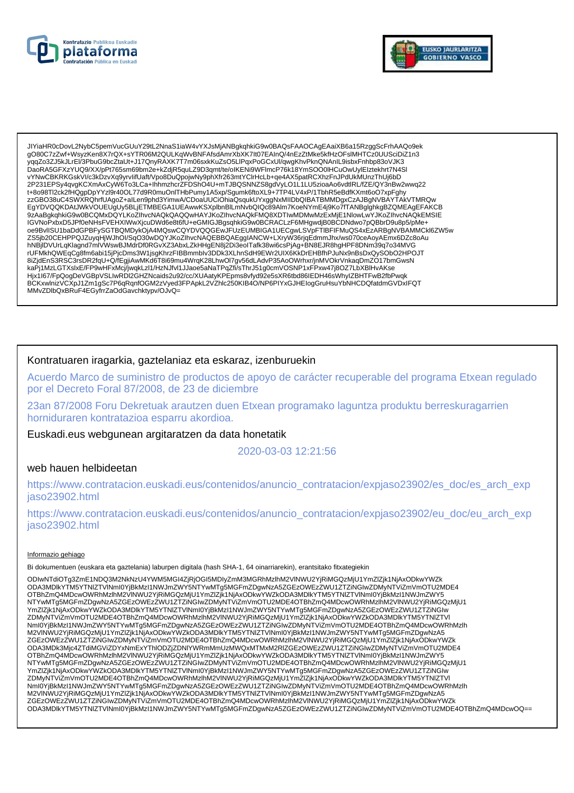



JIYiaHR0cDovL2NybC5pemVucGUuY29tL2NnaS1iaW4vYXJsMjANBgkqhkiG9w0BAQsFAAOCAgEAaiXB6a15RzggScFrhAAQo9ek 9080C7zZwf+WsyzKen8X7rQX+sYTR06M2QULKqWvBNFAfsdAmrXbXK7lt07EAInQ/4nEzZtMke5kfHzOFslMHTCz0UUSciDiZ1n3 yqqZo3ZJ5kJLrEl/3PbuG9bcZtaUt+J17QnyRAXK7T7m06sxkKuZsO5LlPqxPoGCxUl/qwgKhvPknQNAnIL9isbxFnhbp83oVJK3<br>DaoRA5GFXzYUQ9/XX/pPt765sm69bm2e+kZdjR5quLZ9D3qmt/te/oIKENi9WFlmcP76k18YmSOO0IHCuOwUylEIztekhrt7N4Sl vYNwCBKRKGskVI/c3kDzvXq9yrvlifUaft/Vpo8DuQpojwNy9phXfr263mtYClrHcLb+qe4AX5patRCXhzFnJPdUkMUnzThUj6bD 2P231EPSy4qvgKCXmAxCyW6To3LCa+lhhmzhcrZFDShO4U+mTJBQSNNZS8gdVyLO1L1LU5zioaAo6vdtlRL/fZE/QY3nBw2wwq22 t+8o98Tl2ck2fHQgpDpYYzl9r40OL77d9R0muOnlTHbPumy1A5xp/Sgumk6ftoXL9+7TP4LV4xP/1TbhR5eBdfKXmt6oO7xpFghy zzGBO38uC4SWXRQhrfUAgoZ+alLen9phd3YimwA/CDoaUUCiOhiaQsqukUYxggNxMIIDbQIBATBMMDgxCzAJBgNVBAYTAkVTMRQw EgYDVQQKDAtJWkVOUEUgUy5BLjETMBEGA1UEAwwKSXplbnBlLmNvbQlQc89Alm7KoeNYmE4j9Ko7fTANBglghkgBZQMEAgEFAKCB<br>9zAaBgkqhkiG9w0BCQMxDQYLKoZlhvcNAQkQAQQwHAYJKoZlhvcNAQkFMQ8XDTIwMDMwMzExMjE1NlowLwYJKoZlhvcNAQkEMSlE IGVNoPxbxD5JPf0eNHsFVEHXIWwXjcuDWd6e8t6fU+eGMIGJBgsqhkiG9w0BCRACLzF6MHgwdjB0BCDNdwo7pQBbrD9u8p5/pMe+ oe9BvlISU1baDdGPBFySGTBQMDykOjA4MQswCQYDVQQGEwJFUzEUMBIGA1UECgwLSVpFTIBFIFMuQS4xEzARBgNVBAMMCkl6ZW5w ZS5jb20CEHPPQJZuyqHjWJhOI/SqO30wDQYJKoZIhvcNAQEBBQAEggIANCW+LXryW36rjqEdmmJhx/ws070ceAoyAEmx6DZc8oAu hNBjlDVUrLqKlagnd7mlVWswBJMdrDf0RGvXZ3AbxLZkHHgEN8j2Di3eoITafk38wi6csPjAg+BN8EJR8hgHPF8DNm39q7o34MVG rUFMkhQWEqCg8fm6abi15jPjcDms3W1jsgKhrzFIBBmmbIv3DDk3XLhnSdH9EWr2UIX6KkDrEHBfhPJuNx9nBsDxQySObO2HPOJT 87/jdEnS3RSC3rsDR2fqU+Q/fEgjiAwMKd6T8i69mu4WrqK28LhwOl7gv56dLAdvP35AoOWrhxr/jnMVOkrVnkaqDmZO17bmGwsN<br>kaPj1MzLGTXslxE/FP9wHFxMcj/jwqkLzl1/HzNJfvl1JJaoe5aNaTPqZfi/sThrJ51g0cmVOSNP1xFPxw47j8OZ7LbXBlHvAKse is: 197/FpQoqDeVGBpVSLiwRDi2GHZMcaids2u92/cc/XUAatyKPEpms8vfyd92e5sXR6tbd86lEDH46sWhyIZBHTFwB2fbPwqk BCKxwlnizVCXpJ1Zm1gSc7P6qRqnfOGM2zVyed3FPApkL2VZhlc250KIB4O/NP6PIYxGJHElogGruHsuYbNHCDQfatdmGVDxIFQT MMvZDlbQxBRuF4EGyfrrZaOdGavchktypv/OJvQ=

# Kontratuaren iragarkia, gaztelaniaz eta eskaraz, izenburuekin

Acuerdo Marco de suministro de productos de apoyo de carácter recuperable del programa Etxean regulado por el Decreto Foral 87/2008, de 23 de diciembre

23an 87/2008 Foru Dekretuak arautzen duen Etxean programako laguntza produktu berreskuragarrien horniduraren kontratazioa esparru akordioa.

Euskadi.eus webgunean argitaratzen da data honetatik

2020-03-03 12:21:56

## web hauen helbideetan

https://www.contratacion.euskadi.eus/contenidos/anuncio\_contratacion/expjaso23902/es\_doc/es\_arch\_exp jaso23902.html

https://www.contratacion.euskadi.eus/contenidos/anuncio\_contratacion/expjaso23902/eu\_doc/eu\_arch\_exp jaso23902.html

### Informazio gehiago

Bi dokumentuen (euskara eta gaztelania) laburpen digitala (hash SHA-1, 64 oinarriarekin), erantsitako fitxategiekin

ODIwNTdiOTq3ZmE1NDQ3M2NkNzU4YWM5MGI4ZjRjOGI5MDIyZmM3MGRhMzIhM2VINWU2YjRiMGQzMjU1YmZlZjk1NjAxODkwYWZk ODA3MDIkYTM5YTNIZTVINml0YjBkMzI1NWJmZWY5NTYwMTg5MGFmZDgwNzA5ZGEzOWEzZWU1ZTZiNGIwZDMyNTViZmVmOTU2MDE4 OTBhZmQ4MDcwOWRhMzlhM2VINWU2YjRiMGQzMjU1YmZlZjk1NjAxODkwYWZkODA3MDlkYTM5YTNIZTVINmI0YjBkMzI1NWJmZWY5 NTYwMTg5MGFmZDgwNzA5ZGEzOWEzZWU1ZTZiŃGIwZDMyNTViZmVmOTU2MDE4OTBhZmQ4MDcwOWRhMzIhM2VINWU2YjRiMGQzMjU1 YmZlZjk1NjAxODkwYWZkODA3MDlkYTM5YTNlZTVlNml0YjBkMzl1NWJmZWY5NTYwMTg5MGFmZDgwNzA5ZGEzOWEzZWU1ZTZiNGlw ZDMyNTViZmVmOTU2MDE4OTBhZmQ4MDcwOWRhMzlhM2VlNWU2YjRiMGQzMjU1YmZlZjk1NjAxODkwYWZkODA3MDlkYTM5YTNIZTVl<br>Nml0YjBkMzl1NWJmZWY5NTYwMTg5MGFmZDgwNzA5ZGEzOWEzZWU1ZTZiNGIwZDMyNTViZmVmOTU2MDE4OTBhZmQ4MDcwOWRhMzlh M2VINWU2YjRiMGQzMjU1YmZlZjk1NjAxODkwYWZkODA3MDlkYTM5YTNIZTVINmI0YjBkMzI1NWJmZWY5NTYwMTg5MGFmZDgwNzA5 ZGEZOWEZZWU1ZTZINGIWZDMyNTViZmVmOTU2MDE4OTBhZmQ4MDcwOWRhMzIhM2VINWU2YjRiMGQzMjU1YmZlZjk1NjAxODkwYWZk ODA3MDk3Mjc4ZTdiMGViZDYxNmExYThIODZjZDNIYWRmMmUzMWQxMTMxM2RIZGEzOWEzZWU1ZTZiNGIwZDMyNTViZmVmOTU2MDE4 OTBhZmQ4MDcwOWRhMzlhM2VINWU2YjRiMGQzMjU1YmZlZjk1NjAxODkwYWZkODA3MDlkYTM5YTNIZTVINmI0YjBkMzI1NWJmZWY5 NTYwMTg5MGFmZDgwNzA5ZGEzOWEzZWU1ZTZiŃGIwZDMyNTViZmVmOTU2MDE4OTBhZmQ4MDcwOWRhMzIhM2VINWU2YjRiMGQzMjU1 YmZlZjk1NjAxODkwYWZkODA3MDlkYTM5YTNIZTVINmI0YjBkMzl1NWJmZWY5NTYwMTg5MGFmZDgwNzA5ZGEzOWEzZWU1ZTZiNGIw 2DMyNTViZmVmOTU2MDE4OTBhZmQ4MDcwOWRhMzlhM2VlNWU2YjRiMGQzMjU1YmZlZjk1NjAxODkwYWZkODA3MDlkYTM5YTNIZTVl<br>Nml0YjBkMzl1NWJmZWY5NTYwMTg5MGFmZDgwNzA5ZGEzOWEzZWU1ZTZiNGlwZDMyNTViZmVmOTU2MDE4OTBhZmQ4MDcwOWRhMzlh M2VINWU2YjRiMGQzMjU1YmZlZjk1NjAxODkwYWZkODA3MDlkYTM5YTNIZTVINmI0YjBkMzI1NWJmZWY5NTYwMTg5MGFmZDgwNzA5 ZGEzOWEzZWU1ZTZINGIwZDMyNTVIZmVmOTU2MDE4OTBhZmQ4MDcwOWRhMzInM2VINWU2YjRiMGQzMjU1YmZlZjk1NjAxODkwYWZk ODA3MDlkYTM5YTNIZTVINmI0YjBkMzI1NWJmZWY5NTYwMTg5MGFmZDgwNzA5ZGEzOWEzZWU1ZTZiNGIwZDMyNTViZmVmOTU2MDE4OTBhZmQ4MDcwOQ==